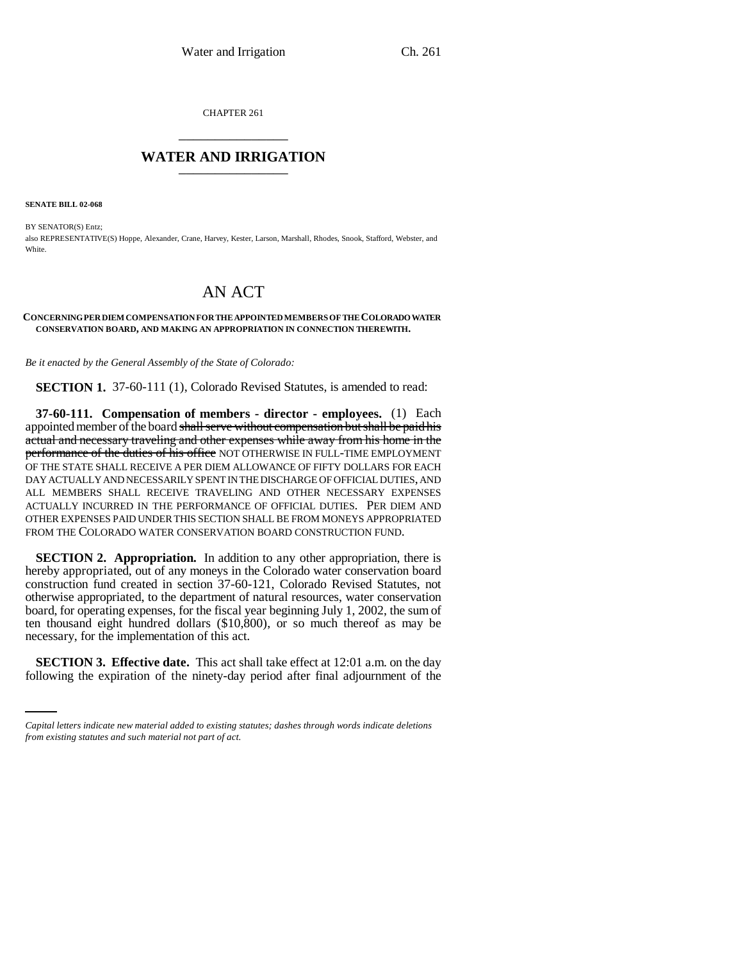CHAPTER 261 \_\_\_\_\_\_\_\_\_\_\_\_\_\_\_

## **WATER AND IRRIGATION** \_\_\_\_\_\_\_\_\_\_\_\_\_\_\_

**SENATE BILL 02-068**

BY SENATOR(S) Entz; also REPRESENTATIVE(S) Hoppe, Alexander, Crane, Harvey, Kester, Larson, Marshall, Rhodes, Snook, Stafford, Webster, and White.

## AN ACT

## **CONCERNING PER DIEM COMPENSATION FOR THE APPOINTED MEMBERS OF THE COLORADO WATER CONSERVATION BOARD, AND MAKING AN APPROPRIATION IN CONNECTION THEREWITH.**

*Be it enacted by the General Assembly of the State of Colorado:*

**SECTION 1.** 37-60-111 (1), Colorado Revised Statutes, is amended to read:

**37-60-111. Compensation of members - director - employees.** (1) Each appointed member of the board shall serve without compensation but shall be paid his actual and necessary traveling and other expenses while away from his home in the performance of the duties of his office NOT OTHERWISE IN FULL-TIME EMPLOYMENT OF THE STATE SHALL RECEIVE A PER DIEM ALLOWANCE OF FIFTY DOLLARS FOR EACH DAY ACTUALLY AND NECESSARILY SPENT IN THE DISCHARGE OF OFFICIAL DUTIES, AND ALL MEMBERS SHALL RECEIVE TRAVELING AND OTHER NECESSARY EXPENSES ACTUALLY INCURRED IN THE PERFORMANCE OF OFFICIAL DUTIES. PER DIEM AND OTHER EXPENSES PAID UNDER THIS SECTION SHALL BE FROM MONEYS APPROPRIATED FROM THE COLORADO WATER CONSERVATION BOARD CONSTRUCTION FUND.

**SECTION 2. Appropriation.** In addition to any other appropriation, there is hereby appropriated, out of any moneys in the Colorado water conservation board construction fund created in section 37-60-121, Colorado Revised Statutes, not otherwise appropriated, to the department of natural resources, water conservation board, for operating expenses, for the fiscal year beginning July 1, 2002, the sum of ten thousand eight hundred dollars (\$10,800), or so much thereof as may be necessary, for the implementation of this act.

**SECTION 3. Effective date.** This act shall take effect at 12:01 a.m. on the day following the expiration of the ninety-day period after final adjournment of the

*Capital letters indicate new material added to existing statutes; dashes through words indicate deletions from existing statutes and such material not part of act.*